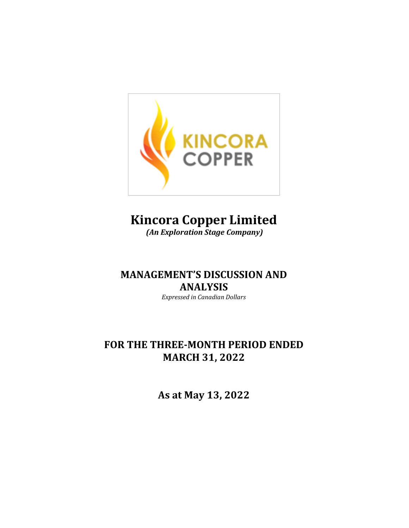

# **Kincora Copper Limited**

*(An Exploration Stage Company)*

## **MANAGEMENT'S DISCUSSION AND ANALYSIS**

*Expressed in Canadian Dollars*

### **FOR THE THREE-MONTH PERIOD ENDED MARCH 31, 2022**

**As at May 13, 2022**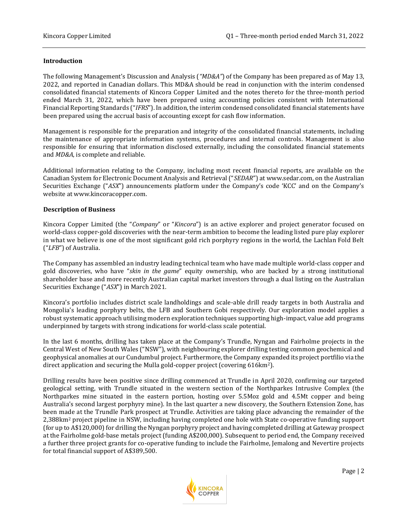#### **Introduction**

The following Management's Discussion and Analysis (*"MD&A"*) of the Company has been prepared as of May 13, 2022, and reported in Canadian dollars. This MD&A should be read in conjunction with the interim condensed consolidated financial statements of Kincora Copper Limited and the notes thereto for the three-month period ended March 31, 2022, which have been prepared using accounting policies consistent with International Financial Reporting Standards ("*IFRS*"). In addition, the interim condensed consolidated financial statements have been prepared using the accrual basis of accounting except for cash flow information.

Management is responsible for the preparation and integrity of the consolidated financial statements, including the maintenance of appropriate information systems, procedures and internal controls. Management is also responsible for ensuring that information disclosed externally, including the consolidated financial statements and *MD&A*, is complete and reliable.

Additional information relating to the Company, including most recent financial reports, are available on the Canadian System for Electronic Document Analysis and Retrieval ("*SEDAR*") at www.sedar.com, on the Australian Securities Exchange ("*ASX*") announcements platform under the Company's code 'KCC' and on the Company's website at www.kincoracopper.com.

#### **Description of Business**

Kincora Copper Limited (the "*Company*" or "*Kincora*") is an active explorer and project generator focused on world-class copper-gold discoveries with the near-term ambition to become the leading listed pure play explorer in what we believe is one of the most significant gold rich porphyry regions in the world, the Lachlan Fold Belt ("*LFB*") of Australia.

The Company has assembled an industry leading technical team who have made multiple world-class copper and gold discoveries, who have "*skin in the game*" equity ownership, who are backed by a strong institutional shareholder base and more recently Australian capital market investors through a dual listing on the Australian Securities Exchange ("*ASX*") in March 2021.

Kincora's portfolio includes district scale landholdings and scale-able drill ready targets in both Australia and Mongolia's leading porphyry belts, the LFB and Southern Gobi respectively. Our exploration model applies a robust systematic approach utilising modern exploration techniques supporting high-impact, value add programs underpinned by targets with strong indications for world-class scale potential.

In the last 6 months, drilling has taken place at the Company's Trundle, Nyngan and Fairholme projects in the Central West of New South Wales ("NSW"), with neighbouring explorer drilling testing common geochemical and geophysical anomalies at our Cundumbul project. Furthermore, the Company expanded its project portfilio via the direct application and securing the Mulla gold-copper project (covering 616km<sup>2</sup>).

Drilling results have been positive since drilling commenced at Trundle in April 2020, confirming our targeted geological setting, with Trundle situated in the western section of the Northparkes Intrusive Complex (the Northparkes mine situated in the eastern portion, hosting over 5.5Moz gold and 4.5Mt copper and being Australia's second largest porphyry mine). In the last quarter a new discovery, the Southern Extension Zone, has been made at the Trundle Park prospect at Trundle. Activities are taking place advancing the remainder of the 2,388km<sup>2</sup> project pipeline in NSW, including having completed one hole with State co-operative funding support (for up to A\$120,000) for drilling the Nyngan porphyry project and having completed drilling at Gateway prospect at the Fairholme gold-base metals project (funding A\$200,000). Subsequent to period end, the Company received a further three project grants for co-operative funding to include the Fairholme, Jemalong and Nevertire projects for total financial support of A\$389,500.

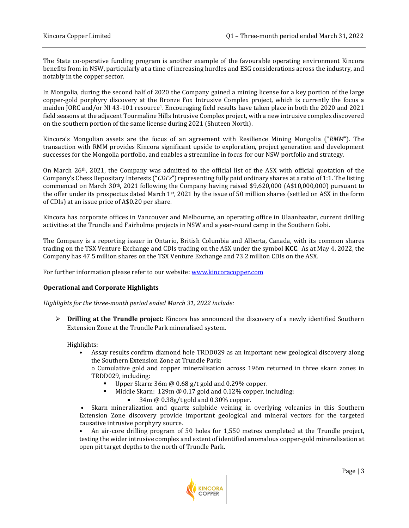The State co-operative funding program is another example of the favourable operating environment Kincora benefits from in NSW, particularly at a time of increasing hurdles and ESG considerations across the industry, and notably in the copper sector.

In Mongolia, during the second half of 2020 the Company gained a mining license for a key portion of the large copper-gold porphyry discovery at the Bronze Fox Intrusive Complex project, which is currently the focus a maiden JORC and/or NI 43-101 resource1. Encouraging field results have taken place in both the 2020 and 2021 field seasons at the adjacent Tourmaline Hills Intrusive Complex project, with a new intrusive complex discovered on the southern portion of the same license during 2021 (Shuteen North).

Kincora's Mongolian assets are the focus of an agreement with Resilience Mining Mongolia ("*RMM*"). The transaction with RMM provides Kincora significant upside to exploration, project generation and development successes for the Mongolia portfolio, and enables a streamline in focus for our NSW portfolio and strategy.

On March  $26<sup>th</sup>$ , 2021, the Company was admitted to the official list of the ASX with official quotation of the Company's Chess Depositary Interests ("*CDI's*") representing fully paid ordinary shares at a ratio of 1:1. The listing commenced on March 30<sup>th</sup>, 2021 following the Company having raised \$9,620,000 (A\$10,000,000) pursuant to the offer under its prospectus dated March 1st, 2021 by the issue of 50 million shares (settled on ASX in the form of CDIs) at an issue price of A\$0.20 per share.

Kincora has corporate offices in Vancouver and Melbourne, an operating office in Ulaanbaatar, current drilling activities at the Trundle and Fairholme projects in NSW and a year-round camp in the Southern Gobi.

The Company is a reporting issuer in Ontario, British Columbia and Alberta, Canada, with its common shares trading on the TSX Venture Exchange and CDIs trading on the ASX under the symbol **KCC**. As at May 4, 2022, the Company has 47.5 million shares on the TSX Venture Exchange and 73.2 million CDIs on the ASX.

For further information please refer to our website: [www.kincoracopper.com](http://www.kincoracopper.com/)

#### **Operational and Corporate Highlights**

*Highlights for the three-month period ended March 31, 2022 include:*

 **Drilling at the Trundle project:** Kincora has announced the discovery of a newly identified Southern Extension Zone at the Trundle Park mineralised system.

Highlights:

• Assay results confirm diamond hole TRDD029 as an important new geological discovery along the Southern Extension Zone at Trundle Park:

o Cumulative gold and copper mineralisation across 196m returned in three skarn zones in TRDD029, including:

- Upper Skarn: 36m @ 0.68 g/t gold and 0.29% copper.
- Middle Skarn: 129m @ 0.17 gold and 0.12% copper, including:
	- 34m @ 0.38g/t gold and 0.30% copper.

• Skarn mineralization and quartz sulphide veining in overlying volcanics in this Southern Extension Zone discovery provide important geological and mineral vectors for the targeted causative intrusive porphyry source.

• An air-core drilling program of 50 holes for 1,550 metres completed at the Trundle project, testing the wider intrusive complex and extent of identified anomalous copper-gold mineralisation at open pit target depths to the north of Trundle Park.

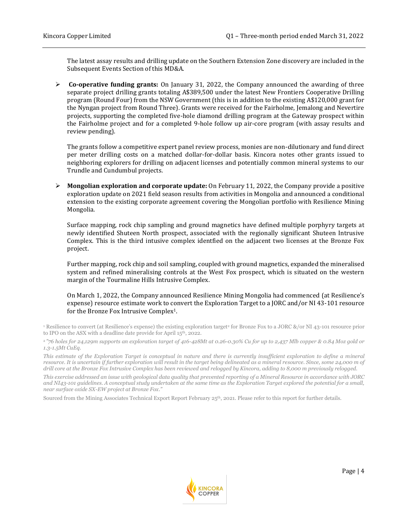The latest assay results and drilling update on the Southern Extension Zone discovery are included in the Subsequent Events Section of this MD&A.

 **Co-operative funding grants:** On January 31, 2022, the Company announced the awarding of three separate project drilling grants totaling A\$389,500 under the latest New Frontiers Cooperative Drilling program (Round Four) from the NSW Government (this is in addition to the existing A\$120,000 grant for the Nyngan project from Round Three). Grants were received for the Fairholme, Jemalong and Nevertire projects, supporting the completed five-hole diamond drilling program at the Gateway prospect within the Fairholme project and for a completed 9-hole follow up air-core program (with assay results and review pending).

The grants follow a competitive expert panel review process, monies are non-dilutionary and fund direct per meter drilling costs on a matched dollar-for-dollar basis. Kincora notes other grants issued to neighboring explorers for drilling on adjacent licenses and potentially common mineral systems to our Trundle and Cundumbul projects.

 **Mongolian exploration and corporate update:** On February 11, 2022, the Company provide a positive exploration update on 2021 field season results from activities in Mongolia and announced a conditional extension to the existing corporate agreement covering the Mongolian portfolio with Resilience Mining Mongolia.

Surface mapping, rock chip sampling and ground magnetics have defined multiple porphyry targets at newly identified Shuteen North prospect, associated with the regionally significant Shuteen Intrusive Complex. This is the third intusive complex identfied on the adjacent two licenses at the Bronze Fox project.

Further mapping, rock chip and soil sampling, coupled with ground magnetics, expanded the mineralised system and refined mineralising controls at the West Fox prospect, which is situated on the western margin of the Tourmaline Hills Intrusive Complex.

On March 1, 2022, the Company announced Resilience Mining Mongolia had commenced (at Resilience's expense) resource estimate work to convert the Exploration Target to a JORC and/or NI 43-101 resource for the Bronze Fox Intrusive Complex1.

<sup>1</sup> Resilience to convert (at Resilience's expense) the existing exploration target<sup>2</sup> for Bronze Fox to a JORC &/or NI 43-101 resource prior to IPO on the ASX with a deadline date provide for April 15th, 2022.

<sup>2</sup> *"76 holes for 24,129m supports an exploration target of 416-428Mt at 0.26-0.30% Cu for up to 2,437 Mlb copper & 0.84 Moz gold or 1.3-1.5Mt CuEq.*

*This estimate of the Exploration Target is conceptual in nature and there is currently insufficient exploration to define a mineral resource. It is uncertain if further exploration will result in the target being delineated as a mineral resource. Since, some 24,000 m of drill core at the Bronze Fox Intrusive Complex has been reviewed and relogged by Kincora, adding to 8,000 m previously relogged.* 

*This exercise addressed an issue with geological data quality that prevented reporting of a Mineral Resource in accordance with JORC and NI43-101 guidelines. A conceptual study undertaken at the same time as the Exploration Target explored the potential for a small, near surface oxide SX-EW project at Bronze Fox."*

Sourced from the Mining Associates Technical Export Report February 25<sup>th</sup>, 2021. Please refer to this report for further details.

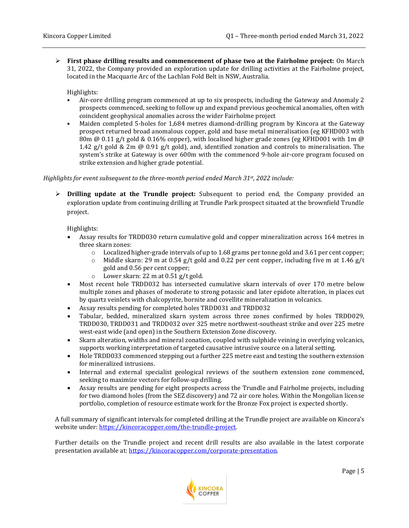**First phase drilling results and commencement of phase two at the Fairholme project:** On March 31, 2022, the Company provided an exploration update for drilling activities at the Fairholme project, located in the Macquarie Arc of the Lachlan Fold Belt in NSW, Australia.

Highlights:

- Air-core drilling program commenced at up to six prospects, including the Gateway and Anomaly 2 prospects commenced, seeking to follow up and expand previous geochemical anomalies, often with coincident geophysical anomalies across the wider Fairholme project
- Maiden completed 5-holes for 1,684 metres diamond-drilling program by Kincora at the Gateway prospect returned broad anomalous copper, gold and base metal mineralisation (eg KFHD003 with 80m @ 0.11 g/t gold & 0.16% copper), with localised higher grade zones (eg KFHD001 with 1m @ 1.42 g/t gold & 2m  $\omega$  0.91 g/t gold), and, identified zonation and controls to mineralisation. The system's strike at Gateway is over 600m with the commenced 9-hole air-core program focused on strike extension and higher grade potential.

#### *Highlights for event subsequent to the three-month period ended March 31st, 2022 include:*

 **Drilling update at the Trundle project:** Subsequent to period end, the Company provided an exploration update from continuing drilling at Trundle Park prospect situated at the brownfield Trundle project.

Highlights:

- Assay results for TRDD030 return cumulative gold and copper mineralization across 164 metres in three skarn zones:
	- o Localized higher-grade intervals of up to 1.68 grams per tonne gold and 3.61 per cent copper;
	- $\circ$  Middle skarn: 29 m at 0.54 g/t gold and 0.22 per cent copper, including five m at 1.46 g/t gold and 0.56 per cent copper;
	- o Lower skarn: 22 m at 0.51 g/t gold.
- Most recent hole TRDD032 has intersected cumulative skarn intervals of over 170 metre below multiple zones and phases of moderate to strong potassic and later epidote alteration, in places cut by quartz veinlets with chalcopyrite, bornite and covellite mineralization in volcanics.
- Assay results pending for completed holes TRDD031 and TRDD032
- Tabular, bedded, mineralized skarn system across three zones confirmed by holes TRDD029, TRDD030, TRDD031 and TRDD032 over 325 metre northwest-southeast strike and over 225 metre west-east wide (and open) in the Southern Extension Zone discovery.
- Skarn alteration, widths and mineral zonation, coupled with sulphide veining in overlying volcanics, supports working interpretation of targeted causative intrusive source on a lateral setting.
- Hole TRDD033 commenced stepping out a further 225 metre east and testing the southern extension for mineralized intrusions.
- Internal and external specialist geological reviews of the southern extension zone commenced, seeking to maximize vectors for follow-up drilling.
- Assay results are pending for eight prospects across the Trundle and Fairholme projects, including for two diamond holes (from the SEZ discovery) and 72 air core holes. Within the Mongolian license portfolio, completion of resource estimate work for the Bronze Fox project is expected shortly.

A full summary of significant intervals for completed drilling at the Trundle project are available on Kincora's website under: [https://kincoracopper.com/the-trundle-project.](https://kincoracopper.com/the-trundle-project/)

Further details on the Trundle project and recent drill results are also available in the latest corporate presentation available at: [https://kincoracopper.com/corporate-presentation.](https://kincoracopper.com/corporate-presentation)

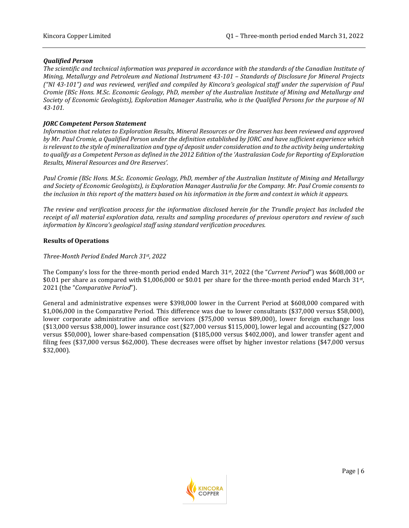#### *Qualified Person*

*The scientific and technical information was prepared in accordance with the standards of the Canadian Institute of Mining, Metallurgy and Petroleum and National Instrument 43-101 - Standards of Disclosure for Mineral Projects ("NI 43-101") and was reviewed, verified and compiled by Kincora's geological staff under the supervision of Paul Cromie (BSc Hons. M.Sc. Economic Geology, PhD, member of the Australian Institute of Mining and Metallurgy and Society of Economic Geologists), Exploration Manager Australia, who is the Qualified Persons for the purpose of NI 43-101.*

#### *JORC Competent Person Statement*

*Information that relates to Exploration Results, Mineral Resources or Ore Reserves has been reviewed and approved by Mr. Paul Cromie, a Qualified Person under the definition established by JORC and have sufficient experience which is relevant to the style of mineralization and type of deposit under consideration and to the activity being undertaking to qualify as a Competent Person as defined in the 2012 Edition of the 'Australasian Code for Reporting of Exploration Results, Mineral Resources and Ore Reserves'.* 

*Paul Cromie (BSc Hons. M.Sc. Economic Geology, PhD, member of the Australian Institute of Mining and Metallurgy and Society of Economic Geologists), is Exploration Manager Australia for the Company. Mr. Paul Cromie consents to the inclusion in this report of the matters based on his information in the form and context in which it appears.*

*The review and verification process for the information disclosed herein for the Trundle project has included the receipt of all material exploration data, results and sampling procedures of previous operators and review of such information by Kincora's geological staff using standard verification procedures.*

#### **Results of Operations**

*Three-Month Period Ended March 31st, 2022*

The Company's loss for the three-month period ended March 31<sup>st</sup>, 2022 (the "*Current Period*") was \$608,000 or \$0.01 per share as compared with \$1,006,000 or \$0.01 per share for the three-month period ended March  $31st$ , 2021 (the "*Comparative Period*").

General and administrative expenses were \$398,000 lower in the Current Period at \$608,000 compared with \$1,006,000 in the Comparative Period. This difference was due to lower consultants (\$37,000 versus \$58,000), lower corporate administrative and office services (\$75,000 versus \$89,000), lower foreign exchange loss (\$13,000 versus \$38,000), lower insurance cost (\$27,000 versus \$115,000), lower legal and accounting (\$27,000 versus \$50,000), lower share-based compensation (\$185,000 versus \$402,000), and lower transfer agent and filing fees (\$37,000 versus \$62,000). These decreases were offset by higher investor relations (\$47,000 versus \$32,000).

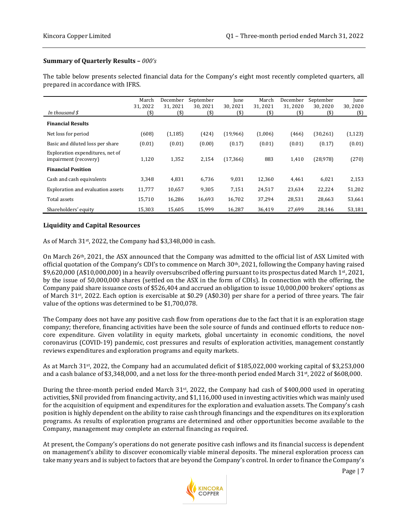#### **Summary of Quarterly Results –** *000's*

The table below presents selected financial data for the Company's eight most recently completed quarters, all prepared in accordance with IFRS.

| In thousand $$$                                           | March<br>31.2022<br>(3) | December<br>31.2021<br>(3) | September<br>30.2021<br>$($ \$ | June<br>30.2021<br>(\$) | March<br>31.2021<br>$($ \$) | December<br>31.2020<br>$($ \$) | September<br>30.2020<br>(3) | June<br>30, 2020<br>(3) |
|-----------------------------------------------------------|-------------------------|----------------------------|--------------------------------|-------------------------|-----------------------------|--------------------------------|-----------------------------|-------------------------|
| <b>Financial Results</b>                                  |                         |                            |                                |                         |                             |                                |                             |                         |
| Net loss for period                                       | (608)                   | (1, 185)                   | (424)                          | (19,966)                | (1,006)                     | (466)                          | (30, 261)                   | (1, 123)                |
| Basic and diluted loss per share                          | (0.01)                  | (0.01)                     | (0.00)                         | (0.17)                  | (0.01)                      | (0.01)                         | (0.17)                      | (0.01)                  |
| Exploration expenditures, net of<br>impairment (recovery) | 1,120                   | 1,352                      | 2,154                          | (17, 366)               | 883                         | 1,410                          | (28, 978)                   | (270)                   |
| <b>Financial Position</b>                                 |                         |                            |                                |                         |                             |                                |                             |                         |
| Cash and cash equivalents                                 | 3,348                   | 4,831                      | 6,736                          | 9,031                   | 12,360                      | 4,461                          | 6,021                       | 2,153                   |
| Exploration and evaluation assets                         | 11,777                  | 10,657                     | 9,305                          | 7,151                   | 24,517                      | 23,634                         | 22,224                      | 51,202                  |
| Total assets                                              | 15,710                  | 16,286                     | 16,693                         | 16,702                  | 37,294                      | 28,531                         | 28,663                      | 53,661                  |
| Shareholders' equity                                      | 15,303                  | 15,605                     | 15,999                         | 16,287                  | 36,419                      | 27,699                         | 28,146                      | 53,181                  |

#### **Liquidity and Capital Resources**

As of March 31st, 2022, the Company had \$3,348,000 in cash.

On March 26th, 2021, the ASX announced that the Company was admitted to the official list of ASX Limited with official quotation of the Company's CDI's to commence on March 30<sup>th</sup>, 2021, following the Company having raised  $$9,620,000$  (A $$10,000,000$ ) in a heavily oversubscribed offering pursuant to its prospectus dated March 1<sup>st</sup>, 2021, by the issue of 50,000,000 shares (settled on the ASX in the form of CDIs). In connection with the offering, the Company paid share issuance costs of \$526,404 and accrued an obligation to issue 10,000,000 brokers' options as of March 31st, 2022. Each option is exercisable at \$0.29 (A\$0.30) per share for a period of three years. The fair value of the options was determined to be \$1,700,078.

The Company does not have any positive cash flow from operations due to the fact that it is an exploration stage company; therefore, financing activities have been the sole source of funds and continued efforts to reduce noncore expenditure. Given volatility in equity markets, global uncertainty in economic conditions, the novel coronavirus (COVID-19) pandemic, cost pressures and results of exploration activities, management constantly reviews expenditures and exploration programs and equity markets.

As at March 31st , 2022, the Company had an accumulated deficit of \$185,022,000 working capital of \$3,253,000 and a cash balance of \$3,348,000, and a net loss for the three-month period ended March 31st, 2022 of \$608,000.

During the three-month period ended March  $31st$ , 2022, the Company had cash of \$400,000 used in operating activities, \$Nil provided from financing activity, and \$1,116,000 used in investing activities which was mainly used for the acquisition of equipment and expenditures for the exploration and evaluation assets. The Company's cash position is highly dependent on the ability to raise cash through financings and the expenditures on its exploration programs. As results of exploration programs are determined and other opportunities become available to the Company, management may complete an external financing as required.

At present, the Company's operations do not generate positive cash inflows and its financial success is dependent on management's ability to discover economically viable mineral deposits. The mineral exploration process can take many years and is subject to factors that are beyond the Company's control. In order to finance the Company's

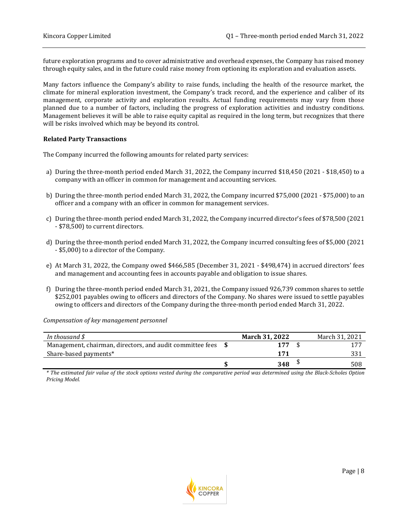future exploration programs and to cover administrative and overhead expenses, the Company has raised money through equity sales, and in the future could raise money from optioning its exploration and evaluation assets.

Many factors influence the Company's ability to raise funds, including the health of the resource market, the climate for mineral exploration investment, the Company's track record, and the experience and caliber of its management, corporate activity and exploration results. Actual funding requirements may vary from those planned due to a number of factors, including the progress of exploration activities and industry conditions. Management believes it will be able to raise equity capital as required in the long term, but recognizes that there will be risks involved which may be beyond its control.

#### **Related Party Transactions**

The Company incurred the following amounts for related party services:

- a) During the three-month period ended March 31, 2022, the Company incurred \$18,450 (2021 \$18,450) to a company with an officer in common for management and accounting services.
- b) During the three-month period ended March 31, 2022, the Company incurred \$75,000 (2021 \$75,000) to an officer and a company with an officer in common for management services.
- c) During the three-month period ended March 31, 2022, the Company incurred director's fees of \$78,500 (2021 - \$78,500) to current directors.
- d) During the three-month period ended March 31, 2022, the Company incurred consulting fees of \$5,000 (2021 - \$5,000) to a director of the Company.
- e) At March 31, 2022, the Company owed \$466,585 (December 31, 2021 \$498,474) in accrued directors' fees and management and accounting fees in accounts payable and obligation to issue shares.
- f) During the three-month period ended March 31, 2021, the Company issued 926,739 common shares to settle \$252,001 payables owing to officers and directors of the Company. No shares were issued to settle payables owing to officers and directors of the Company during the three-month period ended March 31, 2022.

*Compensation of key management personnel*

| In thousand $\oint$                                          |  | <b>March 31, 2022</b> | March 31, 2021 |
|--------------------------------------------------------------|--|-----------------------|----------------|
| Management, chairman, directors, and audit committee fees \$ |  | 177                   | 177            |
| Share-based payments*                                        |  | 171                   | 331            |
|                                                              |  | 348                   | 508            |

*\* The estimated fair value of the stock options vested during the comparative period was determined using the Black-Scholes Option Pricing Model.*

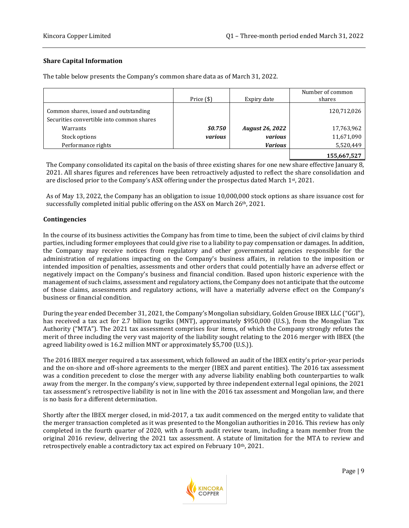#### **Share Capital Information**

The table below presents the Company's common share data as of March 31, 2022.

|                                                                                    | Price $(\$)$ | Expiry date            | Number of common<br>shares |
|------------------------------------------------------------------------------------|--------------|------------------------|----------------------------|
| Common shares, issued and outstanding<br>Securities convertible into common shares |              |                        | 120,712,026                |
| Warrants                                                                           | \$0.750      | <b>August 26, 2022</b> | 17,763,962                 |
| Stock options                                                                      | various      | various                | 11,671,090                 |
| Performance rights                                                                 |              | <b>Various</b>         | 5,520,449                  |
|                                                                                    |              |                        | 155,667,527                |

The Company consolidated its capital on the basis of three existing shares for one new share effective January 8, 2021. All shares figures and references have been retroactively adjusted to reflect the share consolidation and are disclosed prior to the Company's ASX offering under the prospectus dated March  $1$ <sup>st</sup>, 2021.

As of May 13, 2022, the Company has an obligation to issue 10,000,000 stock options as share issuance cost for successfully completed initial public offering on the ASX on March 26<sup>th</sup>, 2021.

#### **Contingencies**

In the course of its business activities the Company has from time to time, been the subject of civil claims by third parties, including former employees that could give rise to a liability to pay compensation or damages. In addition, the Company may receive notices from regulatory and other governmental agencies responsible for the administration of regulations impacting on the Company's business affairs, in relation to the imposition or intended imposition of penalties, assessments and other orders that could potentially have an adverse effect or negatively impact on the Company's business and financial condition. Based upon historic experience with the management of such claims, assessment and regulatory actions, the Company does not anticipate that the outcome of those claims, assessments and regulatory actions, will have a materially adverse effect on the Company's business or financial condition.

During the year ended December 31, 2021, the Company's Mongolian subsidiary, Golden Grouse IBEX LLC ("GGI"), has received a tax act for 2.7 billion tugriks (MNT), approximately \$950,000 (U.S.), from the Mongolian Tax Authority ("MTA"). The 2021 tax assessment comprises four items, of which the Company strongly refutes the merit of three including the very vast majority of the liability sought relating to the 2016 merger with IBEX (the agreed liability owed is 16.2 million MNT or approximately \$5,700 (U.S.)).

The 2016 IBEX merger required a tax assessment, which followed an audit of the IBEX entity's prior-year periods and the on-shore and off-shore agreements to the merger (IBEX and parent entities). The 2016 tax assessment was a condition precedent to close the merger with any adverse liability enabling both counterparties to walk away from the merger. In the company's view, supported by three independent external legal opinions, the 2021 tax assessment's retrospective liability is not in line with the 2016 tax assessment and Mongolian law, and there is no basis for a different determination.

Shortly after the IBEX merger closed, in mid-2017, a tax audit commenced on the merged entity to validate that the merger transaction completed as it was presented to the Mongolian authorities in 2016. This review has only completed in the fourth quarter of 2020, with a fourth audit review team, including a team member from the original 2016 review, delivering the 2021 tax assessment. A statute of limitation for the MTA to review and retrospectively enable a contradictory tax act expired on February 10<sup>th</sup>, 2021.

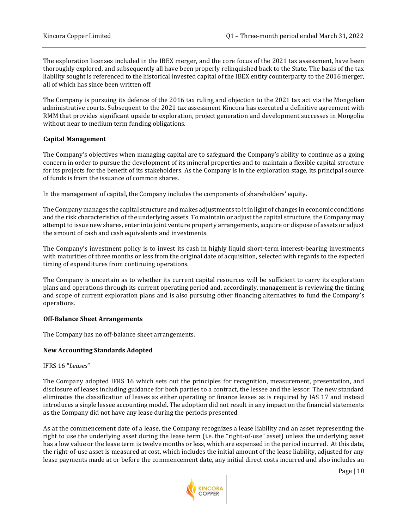The exploration licenses included in the IBEX merger, and the core focus of the 2021 tax assessment, have been thoroughly explored, and subsequently all have been properly relinquished back to the State. The basis of the tax liability sought is referenced to the historical invested capital of the IBEX entity counterparty to the 2016 merger, all of which has since been written off.

The Company is pursuing its defence of the 2016 tax ruling and objection to the 2021 tax act via the Mongolian administrative courts. Subsequent to the 2021 tax assessment Kincora has executed a definitive agreement with RMM that provides significant upside to exploration, project generation and development successes in Mongolia without near to medium term funding obligations.

#### **Capital Management**

The Company's objectives when managing capital are to safeguard the Company's ability to continue as a going concern in order to pursue the development of its mineral properties and to maintain a flexible capital structure for its projects for the benefit of its stakeholders. As the Company is in the exploration stage, its principal source of funds is from the issuance of common shares.

In the management of capital, the Company includes the components of shareholders' equity.

The Company manages the capital structure and makes adjustments to it in light of changes in economic conditions and the risk characteristics of the underlying assets. To maintain or adjust the capital structure, the Company may attempt to issue new shares, enter into joint venture property arrangements, acquire or dispose of assets or adjust the amount of cash and cash equivalents and investments.

The Company's investment policy is to invest its cash in highly liquid short-term interest-bearing investments with maturities of three months or less from the original date of acquisition, selected with regards to the expected timing of expenditures from continuing operations.

The Company is uncertain as to whether its current capital resources will be sufficient to carry its exploration plans and operations through its current operating period and, accordingly, management is reviewing the timing and scope of current exploration plans and is also pursuing other financing alternatives to fund the Company's operations.

#### **Off-Balance Sheet Arrangements**

The Company has no off-balance sheet arrangements.

### **New Accounting Standards Adopted**

IFRS 16 "*Leases*"

The Company adopted IFRS 16 which sets out the principles for recognition, measurement, presentation, and disclosure of leases including guidance for both parties to a contract, the lessee and the lessor. The new standard eliminates the classification of leases as either operating or finance leases as is required by IAS 17 and instead introduces a single lessee accounting model. The adoption did not result in any impact on the financial statements as the Company did not have any lease during the periods presented.

As at the commencement date of a lease, the Company recognizes a lease liability and an asset representing the right to use the underlying asset during the lease term (i.e. the "right-of-use" asset) unless the underlying asset has a low value or the lease term is twelve months or less, which are expensed in the period incurred. At this date, the right-of-use asset is measured at cost, which includes the initial amount of the lease liability, adjusted for any lease payments made at or before the commencement date, any initial direct costs incurred and also includes an

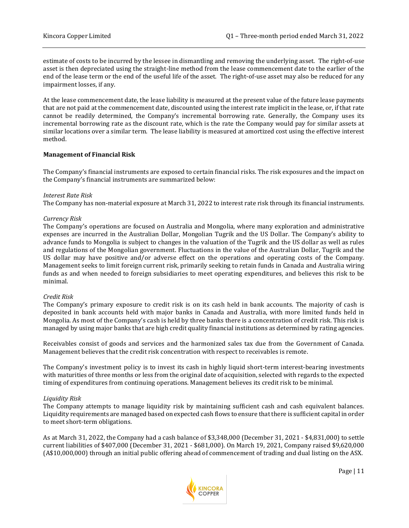estimate of costs to be incurred by the lessee in dismantling and removing the underlying asset. The right-of-use asset is then depreciated using the straight-line method from the lease commencement date to the earlier of the end of the lease term or the end of the useful life of the asset. The right-of-use asset may also be reduced for any impairment losses, if any.

At the lease commencement date, the lease liability is measured at the present value of the future lease payments that are not paid at the commencement date, discounted using the interest rate implicit in the lease, or, if that rate cannot be readily determined, the Company's incremental borrowing rate. Generally, the Company uses its incremental borrowing rate as the discount rate, which is the rate the Company would pay for similar assets at similar locations over a similar term. The lease liability is measured at amortized cost using the effective interest method.

#### **Management of Financial Risk**

The Company's financial instruments are exposed to certain financial risks. The risk exposures and the impact on the Company's financial instruments are summarized below:

#### *Interest Rate Risk*

The Company has non-material exposure at March 31, 2022 to interest rate risk through its financial instruments.

#### *Currency Risk*

The Company's operations are focused on Australia and Mongolia, where many exploration and administrative expenses are incurred in the Australian Dollar, Mongolian Tugrik and the US Dollar. The Company's ability to advance funds to Mongolia is subject to changes in the valuation of the Tugrik and the US dollar as well as rules and regulations of the Mongolian government. Fluctuations in the value of the Australian Dollar, Tugrik and the US dollar may have positive and/or adverse effect on the operations and operating costs of the Company. Management seeks to limit foreign current risk, primarily seeking to retain funds in Canada and Australia wiring funds as and when needed to foreign subsidiaries to meet operating expenditures, and believes this risk to be minimal.

#### *Credit Risk*

The Company's primary exposure to credit risk is on its cash held in bank accounts. The majority of cash is deposited in bank accounts held with major banks in Canada and Australia, with more limited funds held in Mongolia. As most of the Company's cash is held by three banks there is a concentration of credit risk. This risk is managed by using major banks that are high credit quality financial institutions as determined by rating agencies.

Receivables consist of goods and services and the harmonized sales tax due from the Government of Canada. Management believes that the credit risk concentration with respect to receivables is remote.

The Company's investment policy is to invest its cash in highly liquid short-term interest-bearing investments with maturities of three months or less from the original date of acquisition, selected with regards to the expected timing of expenditures from continuing operations. Management believes its credit risk to be minimal.

#### *Liquidity Risk*

The Company attempts to manage liquidity risk by maintaining sufficient cash and cash equivalent balances. Liquidity requirements are managed based on expected cash flows to ensure that there is sufficient capital in order to meet short-term obligations.

As at March 31, 2022, the Company had a cash balance of \$3,348,000 (December 31, 2021 - \$4,831,000) to settle current liabilities of \$407,000 (December 31, 2021 - \$681,000). On March 19, 2021, Company raised \$9,620,000 (A\$10,000,000) through an initial public offering ahead of commencement of trading and dual listing on the ASX.

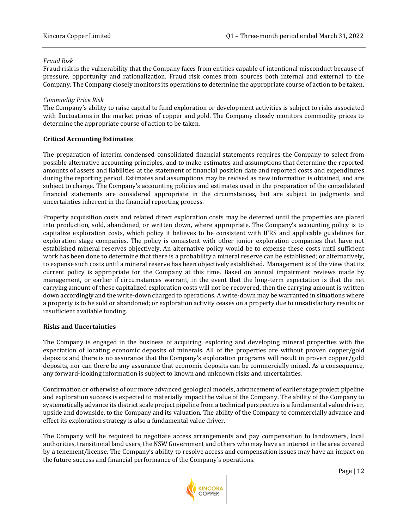#### *Fraud Risk*

Fraud risk is the vulnerability that the Company faces from entities capable of intentional misconduct because of pressure, opportunity and rationalization. Fraud risk comes from sources both internal and external to the Company. The Company closely monitors its operations to determine the appropriate course of action to be taken.

#### *Commodity Price Risk*

The Company's ability to raise capital to fund exploration or development activities is subject to risks associated with fluctuations in the market prices of copper and gold. The Company closely monitors commodity prices to determine the appropriate course of action to be taken.

#### **Critical Accounting Estimates**

The preparation of interim condensed consolidated financial statements requires the Company to select from possible alternative accounting principles, and to make estimates and assumptions that determine the reported amounts of assets and liabilities at the statement of financial position date and reported costs and expenditures during the reporting period. Estimates and assumptions may be revised as new information is obtained, and are subject to change. The Company's accounting policies and estimates used in the preparation of the consolidated financial statements are considered appropriate in the circumstances, but are subject to judgments and uncertainties inherent in the financial reporting process.

Property acquisition costs and related direct exploration costs may be deferred until the properties are placed into production, sold, abandoned, or written down, where appropriate. The Company's accounting policy is to capitalize exploration costs, which policy it believes to be consistent with IFRS and applicable guidelines for exploration stage companies. The policy is consistent with other junior exploration companies that have not established mineral reserves objectively. An alternative policy would be to expense these costs until sufficient work has been done to determine that there is a probability a mineral reserve can be established; or alternatively, to expense such costs until a mineral reserve has been objectively established. Management is of the view that its current policy is appropriate for the Company at this time. Based on annual impairment reviews made by management, or earlier if circumstances warrant, in the event that the long-term expectation is that the net carrying amount of these capitalized exploration costs will not be recovered, then the carrying amount is written down accordingly and the write-down charged to operations. A write-down may be warranted in situations where a property is to be sold or abandoned; or exploration activity ceases on a property due to unsatisfactory results or insufficient available funding.

#### **Risks and Uncertainties**

The Company is engaged in the business of acquiring, exploring and developing mineral properties with the expectation of locating economic deposits of minerals. All of the properties are without proven copper/gold deposits and there is no assurance that the Company's exploration programs will result in proven copper/gold deposits, nor can there be any assurance that economic deposits can be commercially mined. As a consequence, any forward-looking information is subject to known and unknown risks and uncertainties.

Confirmation or otherwise of our more advanced geological models, advancement of earlier stage project pipeline and exploration success is expected to materially impact the value of the Company. The ability of the Company to systematically advance its district scale project pipeline from a technical perspective is a fundamental value driver, upside and downside, to the Company and its valuation. The ability of the Company to commercially advance and effect its exploration strategy is also a fundamental value driver.

The Company will be required to negotiate access arrangements and pay compensation to landowners, local authorities, transitional land users, the NSW Government and others who may have an interest in the area covered by a tenement/license. The Company's ability to resolve access and compensation issues may have an impact on the future success and financial performance of the Company's operations.

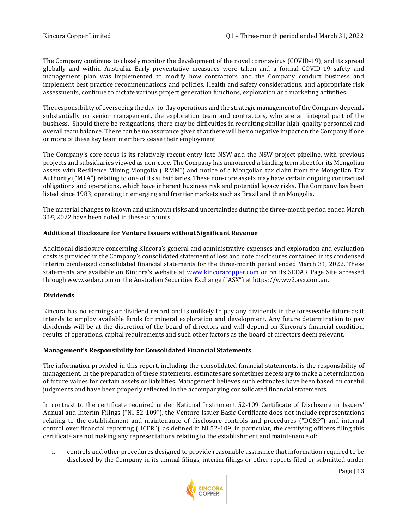The Company continues to closely monitor the development of the novel coronavirus (COVID-19), and its spread globally and within Australia. Early preventative measures were taken and a formal COVID-19 safety and management plan was implemented to modify how contractors and the Company conduct business and implement best practice recommendations and policies. Health and safety considerations, and appropriate risk assessments, continue to dictate various project generation functions, exploration and marketing activities.

The responsibility of overseeing the day-to-day operations and the strategic management of the Company depends substantially on senior management, the exploration team and contractors, who are an integral part of the business. Should there be resignations, there may be difficulties in recruiting similar high-quality personnel and overall team balance. There can be no assurance given that there will be no negative impact on the Company if one or more of these key team members cease their employment.

The Company's core focus is its relatively recent entry into NSW and the NSW project pipeline, with previous projects and subsidiaries viewed as non-core. The Company has announced a binding term sheet for its Mongolian assets with Resilience Mining Mongolia ("RMM") and notice of a Mongolian tax claim from the Mongolian Tax Authority ("MTA") relating to one of its subsidiaries. These non-core assets may have certain ongoing contractual obligations and operations, which have inherent business risk and potential legacy risks. The Company has been listed since 1983, operating in emerging and frontier markets such as Brazil and then Mongolia.

The material changes to known and unknown risks and uncertainties during the three-month period ended March 31st, 2022 have been noted in these accounts.

#### **Additional Disclosure for Venture Issuers without Significant Revenue**

Additional disclosure concerning Kincora's general and administrative expenses and exploration and evaluation costs is provided in the Company's consolidated statement of loss and note disclosures contained in its condensed interim condensed consolidated financial statements for the three-month period ended March 31, 2022. These statements are available on Kincora's website at [www.kincoracopper.com](http://www.kincoracopper.com/) or on its SEDAR Page Site accessed through [www.sedar.com](http://www.sedar.com/) or the Australian Securities Exchange ("ASX") at https://www2.asx.com.au.

#### **Dividends**

Kincora has no earnings or dividend record and is unlikely to pay any dividends in the foreseeable future as it intends to employ available funds for mineral exploration and development. Any future determination to pay dividends will be at the discretion of the board of directors and will depend on Kincora's financial condition, results of operations, capital requirements and such other factors as the board of directors deem relevant.

#### **Management's Responsibility for Consolidated Financial Statements**

The information provided in this report, including the consolidated financial statements, is the responsibility of management. In the preparation of these statements, estimates are sometimes necessary to make a determination of future values for certain assets or liabilities. Management believes such estimates have been based on careful judgments and have been properly reflected in the accompanying consolidated financial statements.

In contrast to the certificate required under National Instrument 52-109 Certificate of Disclosure in Issuers' Annual and Interim Filings ("NI 52-109"), the Venture Issuer Basic Certificate does not include representations relating to the establishment and maintenance of disclosure controls and procedures ("DC&P") and internal control over financial reporting ("ICFR"), as defined in NI 52-109, in particular, the certifying officers filing this certificate are not making any representations relating to the establishment and maintenance of:

i. controls and other procedures designed to provide reasonable assurance that information required to be disclosed by the Company in its annual filings, interim filings or other reports filed or submitted under

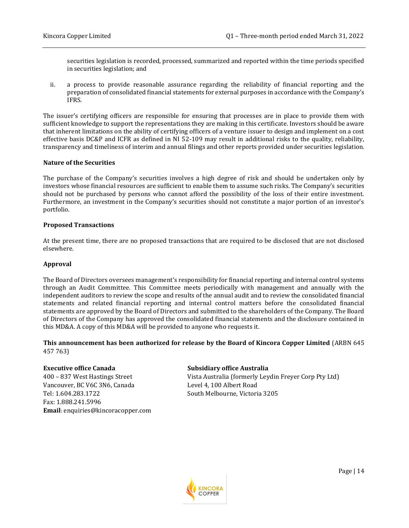securities legislation is recorded, processed, summarized and reported within the time periods specified in securities legislation; and

ii. a process to provide reasonable assurance regarding the reliability of financial reporting and the preparation of consolidated financial statements for external purposes in accordance with the Company's IFRS.

The issuer's certifying officers are responsible for ensuring that processes are in place to provide them with sufficient knowledge to support the representations they are making in this certificate. Investors should be aware that inherent limitations on the ability of certifying officers of a venture issuer to design and implement on a cost effective basis DC&P and ICFR as defined in NI 52-109 may result in additional risks to the quality, reliability, transparency and timeliness of interim and annual filings and other reports provided under securities legislation.

#### **Nature of the Securities**

The purchase of the Company's securities involves a high degree of risk and should be undertaken only by investors whose financial resources are sufficient to enable them to assume such risks. The Company's securities should not be purchased by persons who cannot afford the possibility of the loss of their entire investment. Furthermore, an investment in the Company's securities should not constitute a major portion of an investor's portfolio.

#### **Proposed Transactions**

At the present time, there are no proposed transactions that are required to be disclosed that are not disclosed elsewhere.

### **Approval**

The Board of Directors oversees management's responsibility for financial reporting and internal control systems through an Audit Committee. This Committee meets periodically with management and annually with the independent auditors to review the scope and results of the annual audit and to review the consolidated financial statements and related financial reporting and internal control matters before the consolidated financial statements are approved by the Board of Directors and submitted to the shareholders of the Company. The Board of Directors of the Company has approved the consolidated financial statements and the disclosure contained in this MD&A. A copy of this MD&A will be provided to anyone who requests it.

### **This announcement has been authorized for release by the Board of Kincora Copper Limited** (ARBN 645 457 763)

Vancouver, BC V6C 3N6, Canada Level 4, 100 Albert Road Tel: 1.604.283.1722 South Melbourne, Victoria 3205 Fax: 1.888.241.5996 **Email**: enquiries@kincoracopper.com

#### **Executive office Canada Subsidiary office Australia**

400 – 837 West Hastings Street Vista Australia (formerly Leydin Freyer Corp Pty Ltd)